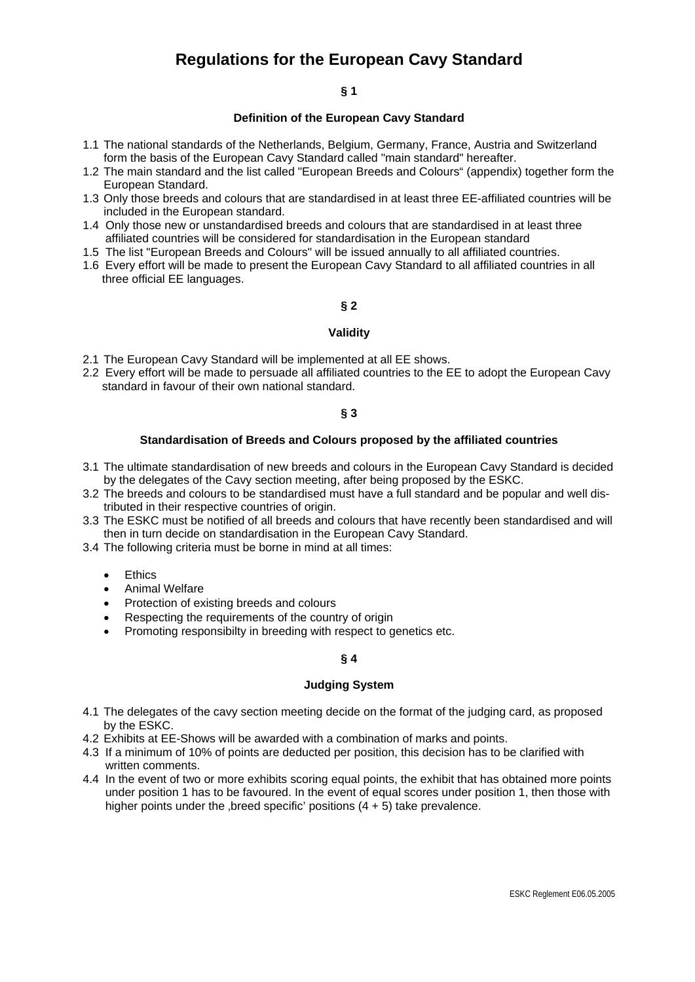# **Regulations for the European Cavy Standard**

#### **§ 1**

#### **Definition of the European Cavy Standard**

- 1.1 The national standards of the Netherlands, Belgium, Germany, France, Austria and Switzerland form the basis of the European Cavy Standard called "main standard" hereafter.
- 1.2 The main standard and the list called "European Breeds and Colours" (appendix) together form the European Standard.
- 1.3 Only those breeds and colours that are standardised in at least three EE-affiliated countries will be included in the European standard.
- 1.4 Only those new or unstandardised breeds and colours that are standardised in at least three affiliated countries will be considered for standardisation in the European standard
- 1.5 The list "European Breeds and Colours" will be issued annually to all affiliated countries.
- 1.6 Every effort will be made to present the European Cavy Standard to all affiliated countries in all three official EE languages.

## **§ 2**

#### **Validity**

- 2.1 The European Cavy Standard will be implemented at all EE shows.
- 2.2 Every effort will be made to persuade all affiliated countries to the EE to adopt the European Cavy standard in favour of their own national standard.

## **§ 3**

### **Standardisation of Breeds and Colours proposed by the affiliated countries**

- 3.1 The ultimate standardisation of new breeds and colours in the European Cavy Standard is decided by the delegates of the Cavy section meeting, after being proposed by the ESKC.
- 3.2 The breeds and colours to be standardised must have a full standard and be popular and well distributed in their respective countries of origin.
- 3.3 The ESKC must be notified of all breeds and colours that have recently been standardised and will then in turn decide on standardisation in the European Cavy Standard.
- 3.4 The following criteria must be borne in mind at all times:
	- Ethics
	- Animal Welfare
	- Protection of existing breeds and colours
	- Respecting the requirements of the country of origin
	- Promoting responsibilty in breeding with respect to genetics etc.

## **§ 4**

## **Judging System**

- 4.1 The delegates of the cavy section meeting decide on the format of the judging card, as proposed by the ESKC.
- 4.2 Exhibits at EE-Shows will be awarded with a combination of marks and points.
- 4.3 If a minimum of 10% of points are deducted per position, this decision has to be clarified with written comments.
- 4.4 In the event of two or more exhibits scoring equal points, the exhibit that has obtained more points under position 1 has to be favoured. In the event of equal scores under position 1, then those with higher points under the , breed specific' positions  $(4 + 5)$  take prevalence.